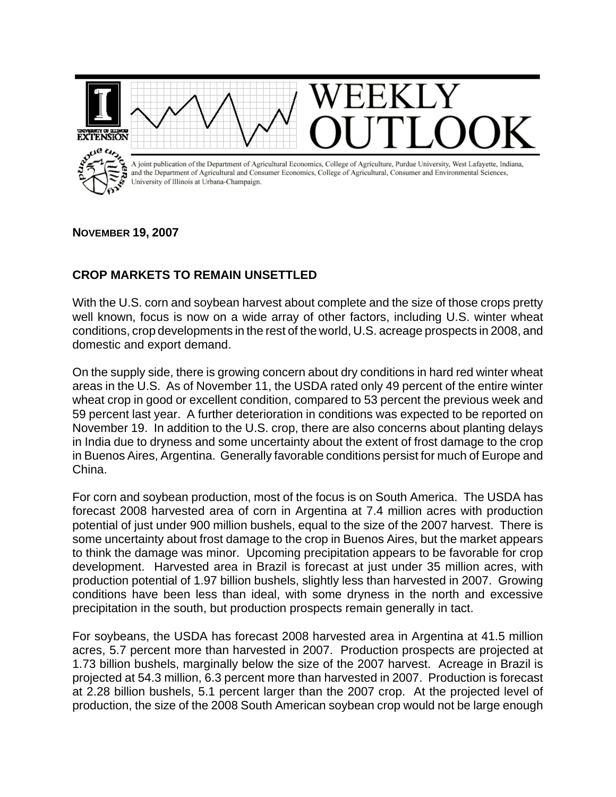

**NOVEMBER 19, 2007**

## **CROP MARKETS TO REMAIN UNSETTLED**

With the U.S. corn and soybean harvest about complete and the size of those crops pretty well known, focus is now on a wide array of other factors, including U.S. winter wheat conditions, crop developments in the rest of the world, U.S. acreage prospects in 2008, and domestic and export demand.

On the supply side, there is growing concern about dry conditions in hard red winter wheat areas in the U.S. As of November 11, the USDA rated only 49 percent of the entire winter wheat crop in good or excellent condition, compared to 53 percent the previous week and 59 percent last year. A further deterioration in conditions was expected to be reported on November 19. In addition to the U.S. crop, there are also concerns about planting delays in India due to dryness and some uncertainty about the extent of frost damage to the crop in Buenos Aires, Argentina. Generally favorable conditions persist for much of Europe and China.

For corn and soybean production, most of the focus is on South America. The USDA has forecast 2008 harvested area of corn in Argentina at 7.4 million acres with production potential of just under 900 million bushels, equal to the size of the 2007 harvest. There is some uncertainty about frost damage to the crop in Buenos Aires, but the market appears to think the damage was minor. Upcoming precipitation appears to be favorable for crop development. Harvested area in Brazil is forecast at just under 35 million acres, with production potential of 1.97 billion bushels, slightly less than harvested in 2007. Growing conditions have been less than ideal, with some dryness in the north and excessive precipitation in the south, but production prospects remain generally in tact.

For soybeans, the USDA has forecast 2008 harvested area in Argentina at 41.5 million acres, 5.7 percent more than harvested in 2007. Production prospects are projected at 1.73 billion bushels, marginally below the size of the 2007 harvest. Acreage in Brazil is projected at 54.3 million, 6.3 percent more than harvested in 2007. Production is forecast at 2.28 billion bushels, 5.1 percent larger than the 2007 crop. At the projected level of production, the size of the 2008 South American soybean crop would not be large enough